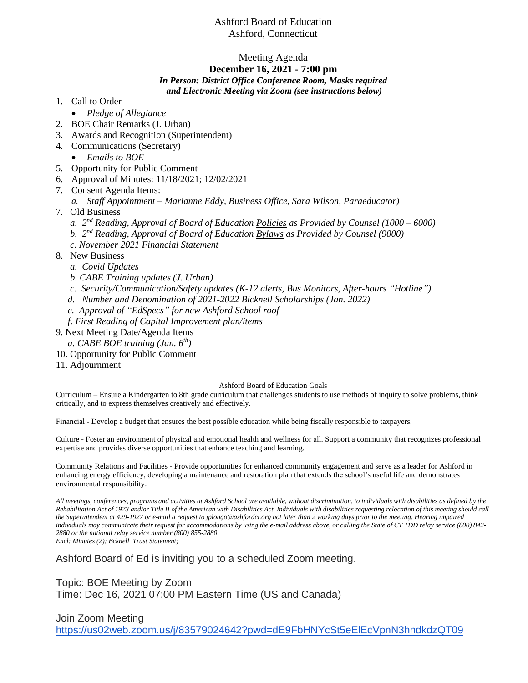## Ashford Board of Education Ashford, Connecticut

# Meeting Agenda

### **December 16, 2021 - 7:00 pm**

#### *In Person: District Office Conference Room, Masks required and Electronic Meeting via Zoom (see instructions below)*

- 1. Call to Order
	- *Pledge of Allegiance*
- 2. BOE Chair Remarks (J. Urban)
- 3. Awards and Recognition (Superintendent)
- 4. Communications (Secretary)
	- *Emails to BOE*
- 5. Opportunity for Public Comment
- 6. Approval of Minutes: 11/18/2021; 12/02/2021
- 7. Consent Agenda Items:
	- *a. Staff Appointment – Marianne Eddy, Business Office, Sara Wilson, Paraeducator)*
- 7. Old Business
- *a. 2 nd Reading, Approval of Board of Education Policies as Provided by Counsel (1000 – 6000)*
- *b. 2 nd Reading, Approval of Board of Education Bylaws as Provided by Counsel (9000)*
	- *c. November 2021 Financial Statement*
- 8. New Business
	- *a. Covid Updates*
	- *b. CABE Training updates (J. Urban)*
	- *c. Security/Communication/Safety updates (K-12 alerts, Bus Monitors, After-hours "Hotline")*
	- *d. Number and Denomination of 2021-2022 Bicknell Scholarships (Jan. 2022)*
	- *e. Approval of "EdSpecs" for new Ashford School roof*
	- *f. First Reading of Capital Improvement plan/items*
- 9. Next Meeting Date/Agenda Items
	- *a. CABE BOE training (Jan. 6th)*
- 10. Opportunity for Public Comment
- 11. Adjournment

### Ashford Board of Education Goals

Curriculum – Ensure a Kindergarten to 8th grade curriculum that challenges students to use methods of inquiry to solve problems, think critically, and to express themselves creatively and effectively.

Financial - Develop a budget that ensures the best possible education while being fiscally responsible to taxpayers.

Culture - Foster an environment of physical and emotional health and wellness for all. Support a community that recognizes professional expertise and provides diverse opportunities that enhance teaching and learning.

Community Relations and Facilities - Provide opportunities for enhanced community engagement and serve as a leader for Ashford in enhancing energy efficiency, developing a maintenance and restoration plan that extends the school's useful life and demonstrates environmental responsibility.

*All meetings, conferences, programs and activities at Ashford School are available, without discrimination, to individuals with disabilities as defined by the Rehabilitation Act of 1973 and/or Title II of the American with Disabilities Act. Individuals with disabilities requesting relocation of this meeting should call the Superintendent at 429-1927 or e-mail a request to jplongo@ashfordct.org not later than 2 working days prior to the meeting. Hearing impaired individuals may communicate their request for accommodations by using the e-mail address above, or calling the State of CT TDD relay service (800) 842- 2880 or the national relay service number (800) 855-2880. Encl: Minutes (2); Bcknell Trust Statement;* 

Ashford Board of Ed is inviting you to a scheduled Zoom meeting.

Topic: BOE Meeting by Zoom Time: Dec 16, 2021 07:00 PM Eastern Time (US and Canada)

### Join Zoom Meeting

<https://us02web.zoom.us/j/83579024642?pwd=dE9FbHNYcSt5eElEcVpnN3hndkdzQT09>